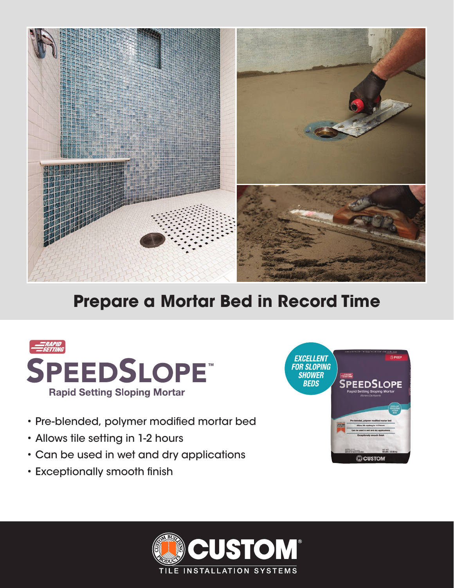

## **Prepare a Mortar Bed in Record Time**



- Pre-blended, polymer modified mortar bed
- Allows tile setting in 1-2 hours
- Can be used in wet and dry applications
- Exceptionally smooth finish